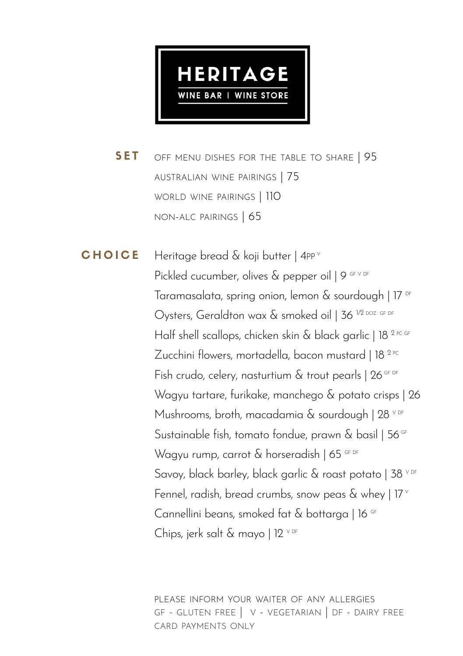

off menu dishes for the table to share | 95 australian wine pairings | 75 world wine pairings | 110 non-alc pairings | 65 SET

Heritage bread & koji butter | 4PP Pickled cucumber, olives & pepper oil 19 GF V DF Taramasalata, spring onion, lemon & sourdough | 17 DF Oysters, Geraldton wax & smoked oil | 36<sup>1/2 DOZ GF DF</sup> Half shell scallops, chicken skin & black garlic | 18<sup>2 PC GF</sup> Zucchini flowers, mortadella, bacon mustard | 18<sup>2 PC</sup> Fish crudo, celery, nasturtium  $\&$  trout pearls | 26 GF DF Wagyu tartare, furikake, manchego & potato crisps | 26 Mushrooms, broth, macadamia & sourdough  $128$  v DF Sustainable fish, tomato fondue, prawn & basil | 56<sup>GF</sup> Wagyu rump, carrot & horseradish | 65 GF DF Savoy, black barley, black garlic & roast potato | 38 V DF Fennel, radish, bread crumbs, snow peas  $\&$  whey  $\left| \right.$  17 $^{\circ}$ Cannellini beans, smoked fat & bottarga | 16 GF Chips, jerk salt & mavo  $112$  <sup>v DF</sup> CHOICE

> please inform your waiter of any allergies gf - gluten free | v - vegetarian | df - dairy free card payments only